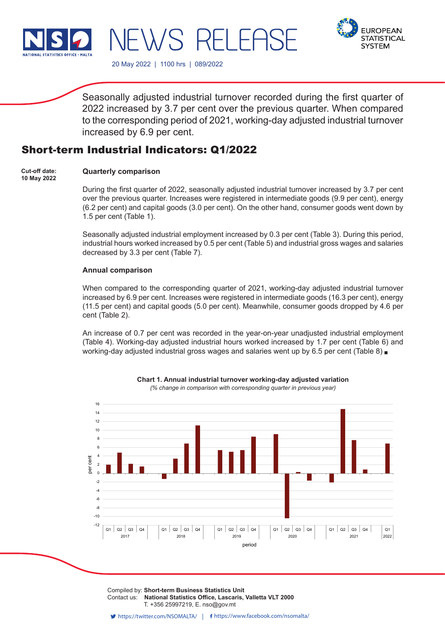

**FUROPFAN STATISTICAL SYSTEM** 

20 May 2022 | 1100 hrs | 089/2022

WS RH FF

Seasonally adjusted industrial turnover recorded during the first quarter of 2022 increased by 3.7 per cent over the previous quarter. When compared to the corresponding period of 2021, working-day adjusted industrial turnover increased by 6.9 per cent.

# Short-term Industrial Indicators: Q1/2022

#### **Quarterly comparison Cut-off date: 10 May 2022**

During the first quarter of 2022, seasonally adjusted industrial turnover increased by 3.7 per cent over the previous quarter. Increases were registered in intermediate goods (9.9 per cent), energy (6.2 per cent) and capital goods (3.0 per cent). On the other hand, consumer goods went down by 1.5 per cent (Table 1).

Seasonally adjusted industrial employment increased by 0.3 per cent (Table 3). During this period, industrial hours worked increased by 0.5 per cent (Table 5) and industrial gross wages and salaries decreased by 3.3 per cent (Table 7).

## **Annual comparison**

When compared to the corresponding quarter of 2021, working-day adjusted industrial turnover increased by 6.9 per cent. Increases were registered in intermediate goods (16.3 per cent), energy (11.5 per cent) and capital goods (5.0 per cent). Meanwhile, consumer goods dropped by 4.6 per cent (Table 2).

An increase of 0.7 per cent was recorded in the year-on-year unadjusted industrial employment (Table 4). Working-day adjusted industrial hours worked increased by 1.7 per cent (Table 6) and working-day adjusted industrial gross wages and salaries went up by 6.5 per cent (Table 8) .



**Chart 1. Annual industrial turnover working-day adjusted variation** *(% change in comparison with corresponding quarter in previous year)*

Compiled by: Short-term Business Statistics Unit Contact us: National Statistics Office, Lascaris, Valletta VLT 2000 Issued by: **Dissemination Unit, National Statistics Office, Lascaris, Valletta VLT 2000, Malta.** T. +356 25997219, E. nso@gov.mt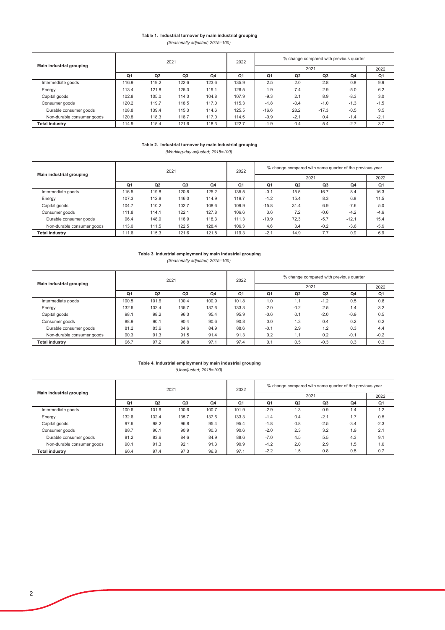### Table 1. Industrial turnover by main industrial grouping *(Seasonally adjusted; 2015=100)*

|                            |       |                | 2021  |       | 2022           | % change compared with previous quarter |        |         |        |        |  |
|----------------------------|-------|----------------|-------|-------|----------------|-----------------------------------------|--------|---------|--------|--------|--|
| Main industrial grouping   |       |                |       |       |                | 2021                                    |        |         |        | 2022   |  |
|                            | Q1    | Q <sub>2</sub> | Q3    | Q4    | Q <sub>1</sub> | Q1                                      | Q2     | Q3      | Q4     | Q1     |  |
| Intermediate goods         | 116.9 | 119.2          | 122.6 | 123.6 | 135.9          | 2.5                                     | 2.0    | 2.8     | 0.8    | 9.9    |  |
| Energy                     | 113.4 | 121.8          | 125.3 | 119.1 | 126.5          | 1.9                                     | 7.4    | 2.9     | $-5.0$ | 6.2    |  |
| Capital goods              | 102.8 | 105.0          | 114.3 | 104.8 | 107.9          | $-9.3$                                  | 2.1    | 8.9     | $-8.3$ | 3.0    |  |
| Consumer goods             | 120.2 | 119.7          | 118.5 | 117.0 | 115.3          | $-1.8$                                  | $-0.4$ | $-1.0$  | $-1.3$ | $-1.5$ |  |
| Durable consumer goods     | 108.8 | 139.4          | 115.3 | 114.6 | 125.5          | $-16.6$                                 | 28.2   | $-17.3$ | $-0.5$ | 9.5    |  |
| Non-durable consumer goods | 120.8 | 118.3          | 118.7 | 117.0 | 114.5          | $-0.9$                                  | $-2.1$ | 0.4     | $-1.4$ | $-2.1$ |  |
| <b>Total industry</b>      | 114.9 | 115.4          | 121.6 | 118.3 | 122.7          | $-1.9$                                  | 0.4    | 5.4     | $-2.7$ | 3.7    |  |

#### Table 2. Industrial turnover by main industrial grouping *(Working-day adjusted; 2015=100)*

|                            |                |                | 2021           |       | 2022           | % change compared with same quarter of the previous year |      |        |         |        |
|----------------------------|----------------|----------------|----------------|-------|----------------|----------------------------------------------------------|------|--------|---------|--------|
| Main industrial grouping   |                |                |                |       |                |                                                          | 2022 |        |         |        |
|                            | Q <sub>1</sub> | Q <sub>2</sub> | Q <sub>3</sub> | Q4    | Q <sub>1</sub> | Q <sub>1</sub>                                           | Q1   |        |         |        |
| Intermediate goods         | 116.5          | 119.8          | 120.8          | 125.2 | 135.5          | $-0.1$                                                   | 15.5 | 16.7   | 8.4     | 16.3   |
| Energy                     | 107.3          | 112.8          | 146.0          | 114.9 | 119.7          | $-1.2$                                                   | 15.4 | 8.3    | 6.8     | 11.5   |
| Capital goods              | 104.7          | 110.2          | 102.7          | 108.6 | 109.9          | $-15.8$                                                  | 31.4 | 6.9    | $-7.6$  | 5.0    |
| Consumer goods             | 111.8          | 114.1          | 122.1          | 127.8 | 106.6          | 3.6                                                      | 7.2  | $-0.6$ | $-4.2$  | $-4.6$ |
| Durable consumer goods     | 96.4           | 148.9          | 116.9          | 118.3 | 111.3          | $-10.9$                                                  | 72.3 | $-5.7$ | $-12.1$ | 15.4   |
| Non-durable consumer goods | 113.0          | 111.5          | 122.5          | 128.4 | 106.3          | 4.6                                                      | 3.4  | $-0.2$ | $-3.6$  | $-5.9$ |
| <b>Total industry</b>      | 111.6          | 115.3          | 121.6          | 121.8 | 119.3          | $-2.1$                                                   | 14.9 | 7.7    | 0.9     | 6.9    |

#### *(Seasonally adjusted; 2015=100)* Table 3. Industrial employment by main industrial grouping

|                            |       |       | 2021           |       | 2022           | % change compared with previous quarter      |        |        |        |        |
|----------------------------|-------|-------|----------------|-------|----------------|----------------------------------------------|--------|--------|--------|--------|
| Main industrial grouping   |       |       |                |       |                |                                              | 2021   |        |        | 2022   |
|                            | Q1    | Q2    | Q <sub>3</sub> | Q4    | Q <sub>1</sub> | Q4<br>Q <sub>1</sub><br>Q <sub>2</sub><br>Q3 |        |        |        | Q1     |
| Intermediate goods         | 100.5 | 101.6 | 100.4          | 100.9 | 101.8          | 1.0                                          |        | $-1.2$ | 0.5    | 0.8    |
| Energy                     | 132.6 | 132.4 | 135.7          | 137.6 | 133.3          | $-2.0$                                       | $-0.2$ | 2.5    | 1.4    | $-3.2$ |
| Capital goods              | 98.1  | 98.2  | 96.3           | 95.4  | 95.9           | $-0.6$                                       | 0.1    | $-2.0$ | $-0.9$ | 0.5    |
| Consumer goods             | 88.9  | 90.1  | 90.4           | 90.6  | 90.8           | 0.0                                          | 1.3    | 0.4    | 0.2    | 0.2    |
| Durable consumer goods     | 81.2  | 83.6  | 84.6           | 84.9  | 88.6           | $-0.1$                                       | 2.9    | 1.2    | 0.3    | 4.4    |
| Non-durable consumer goods | 90.3  | 91.3  | 91.5           | 91.4  | 91.3           | 0.2                                          | .      | 0.2    | $-0.1$ | $-0.2$ |
| <b>Total industry</b>      | 96.7  | 97.2  | 96.8           | 97.1  | 97.4           | 0.1                                          | 0.5    | $-0.3$ | 0.3    | 0.3    |

#### Table 4. Industrial employment by main industrial grouping *(Unadjusted; 2015=100)*

|                            |                |                | 2021           |       | 2022           | % change compared with same quarter of the previous year |      |        |        |        |  |
|----------------------------|----------------|----------------|----------------|-------|----------------|----------------------------------------------------------|------|--------|--------|--------|--|
| Main industrial grouping   |                |                |                |       |                |                                                          | 2021 |        |        | 2022   |  |
|                            | Q <sub>1</sub> | Q <sub>2</sub> | Q <sub>3</sub> | Q4    | Q <sub>1</sub> | Q2<br>Q4<br>Q <sub>1</sub><br>Q3                         |      |        |        | Q1     |  |
| Intermediate goods         | 100.6          | 101.6          | 100.6          | 100.7 | 101.9          | $-2.9$                                                   | 1.3  | 0.9    | 1.4    | 1.2    |  |
| Energy                     | 132.6          | 132.4          | 135.7          | 137.6 | 133.3          | $-1.4$                                                   | 0.4  | $-2.1$ | 1.7    | 0.5    |  |
| Capital goods              | 97.6           | 98.2           | 96.8           | 95.4  | 95.4           | $-1.8$                                                   | 0.8  | $-2.5$ | $-3.4$ | $-2.3$ |  |
| Consumer goods             | 88.7           | 90.1           | 90.9           | 90.3  | 90.6           | $-2.0$                                                   | 2.3  | 3.2    | 1.9    | 2.1    |  |
| Durable consumer goods     | 81.2           | 83.6           | 84.6           | 84.9  | 88.6           | $-7.0$                                                   | 4.5  | 5.5    | 4.3    | 9.1    |  |
| Non-durable consumer goods | 90.1           | 91.3           | 92.1           | 91.3  | 90.9           | $-1.2$                                                   | 2.0  | 2.9    | 1.5    | 1.0    |  |
| <b>Total industry</b>      | 96.4           | 97.4           | 97.3           | 96.8  | 97.1           | $-2.2$                                                   | 1.5  | 0.8    | 0.5    | 0.7    |  |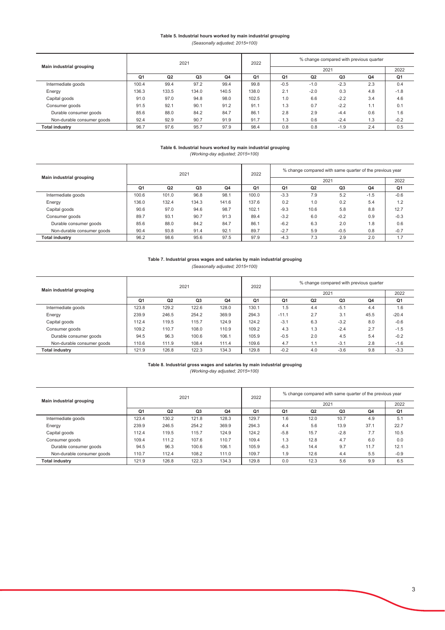### Table 5. Industrial hours worked by main industrial grouping

*(Seasonally adjusted; 2015=100)*

|                            |                |                | 2021           |       | 2022           |                |                | % change compared with previous quarter |     |        |
|----------------------------|----------------|----------------|----------------|-------|----------------|----------------|----------------|-----------------------------------------|-----|--------|
| Main industrial grouping   |                |                |                |       |                |                |                | 2021                                    |     | 2022   |
|                            | Q <sub>1</sub> | Q <sub>2</sub> | Q <sub>3</sub> | Q4    | Q <sub>1</sub> | Q <sub>1</sub> | Q <sub>2</sub> | Q <sub>3</sub>                          | Q4  | Q1     |
| Intermediate goods         | 100.4          | 99.4           | 97.2           | 99.4  | 99.8           | $-0.5$         | $-1.0$         | $-2.3$                                  | 2.3 | 0.4    |
| Energy                     | 136.3          | 133.5          | 134.0          | 140.5 | 138.0          | 2.1            | $-2.0$         | 0.3                                     | 4.8 | $-1.8$ |
| Capital goods              | 91.0           | 97.0           | 94.8           | 98.0  | 102.5          | 1.0            | 6.6            | $-2.2$                                  | 3.4 | 4.6    |
| Consumer goods             | 91.5           | 92.1           | 90.1           | 91.2  | 91.1           | 1.3            | 0.7            | $-2.2$                                  | 1.1 | 0.1    |
| Durable consumer goods     | 85.6           | 88.0           | 84.2           | 84.7  | 86.1           | 2.8            | 2.9            | $-4.4$                                  | 0.6 | 1.6    |
| Non-durable consumer goods | 92.4           | 92.9           | 90.7           | 91.9  | 91.7           | 1.3            | 0.6            | $-2.4$                                  | 1.3 | $-0.2$ |
| <b>Total industry</b>      | 96.7           | 97.6           | 95.7           | 97.9  | 98.4           | 0.8            | 0.8            | $-1.9$                                  | 2.4 | 0.5    |

#### Table 6. Industrial hours worked by main industrial grouping *(Working-day adjusted; 2015=100)*

|                            |                |       | 2021           |       | 2022           |                |      | % change compared with same quarter of the previous year |                |        |
|----------------------------|----------------|-------|----------------|-------|----------------|----------------|------|----------------------------------------------------------|----------------|--------|
| Main industrial grouping   |                |       |                |       |                |                |      | 2021                                                     |                | 2022   |
|                            | Q <sub>1</sub> | Q2    | Q <sub>3</sub> | Q4    | Q <sub>1</sub> | Q <sub>1</sub> | Q2   | Q <sub>3</sub>                                           | Q <sub>4</sub> | Q1     |
| Intermediate goods         | 100.6          | 101.0 | 96.8           | 98.1  | 100.0          | $-3.3$         | 7.9  | 5.2                                                      | $-1.5$         | $-0.6$ |
| Energy                     | 136.0          | 132.4 | 134.3          | 141.6 | 137.6          | 0.2            | 1.0  | 0.2                                                      | 5.4            | 1.2    |
| Capital goods              | 90.6           | 97.0  | 94.6           | 98.7  | 102.1          | $-9.3$         | 10.6 | 5.8                                                      | 8.8            | 12.7   |
| Consumer goods             | 89.7           | 93.1  | 90.7           | 91.3  | 89.4           | $-3.2$         | 6.0  | $-0.2$                                                   | 0.9            | $-0.3$ |
| Durable consumer goods     | 85.6           | 88.0  | 84.2           | 84.7  | 86.1           | $-6.2$         | 6.3  | 2.0                                                      | 1.8            | 0.6    |
| Non-durable consumer goods | 90.4           | 93.8  | 91.4           | 92.1  | 89.7           | $-2.7$         | 5.9  | $-0.5$                                                   | 0.8            | $-0.7$ |
| <b>Total industry</b>      | 96.2           | 98.6  | 95.6           | 97.5  | 97.9           | $-4.3$         | 7.3  | 2.9                                                      | 2.0            | 1.7    |

# Table 7. Industrial gross wages and salaries by main industrial grouping

*(Seasonally adjusted; 2015=100)*

|                            |                |       | 2021           |                | 2022           | % change compared with previous quarter                  |     |        |      |         |
|----------------------------|----------------|-------|----------------|----------------|----------------|----------------------------------------------------------|-----|--------|------|---------|
| Main industrial grouping   |                |       |                |                |                |                                                          |     | 2021   |      | 2022    |
|                            | Q <sub>1</sub> | Q2    | Q <sub>3</sub> | Q <sub>4</sub> | Q <sub>1</sub> | Q <sub>1</sub><br>Q <sub>4</sub><br>Q <sub>2</sub><br>Q3 |     |        |      | Q1      |
| Intermediate goods         | 123.8          | 129.2 | 122.6          | 128.0          | 130.1          | 1.5                                                      | 4.4 | $-5.1$ | 4.4  | 1.6     |
| Energy                     | 239.9          | 246.5 | 254.2          | 369.9          | 294.3          | $-11.1$                                                  | 2.7 | 3.1    | 45.5 | $-20.4$ |
| Capital goods              | 112.4          | 119.5 | 115.7          | 124.9          | 124.2          | $-3.1$                                                   | 6.3 | $-3.2$ | 8.0  | $-0.6$  |
| Consumer goods             | 109.2          | 110.7 | 108.0          | 110.9          | 109.2          | 4.3                                                      | 1.3 | $-2.4$ | 2.7  | $-1.5$  |
| Durable consumer goods     | 94.5           | 96.3  | 100.6          | 106.1          | 105.9          | $-0.5$                                                   | 2.0 | 4.5    | 5.4  | $-0.2$  |
| Non-durable consumer goods | 110.6          | 111.9 | 108.4          | 111.4          | 109.6          | 4.7                                                      | 1.1 | $-3.1$ | 2.8  | $-1.6$  |
| <b>Total industry</b>      | 121.9          | 126.8 | 122.3          | 134.3          | 129.8          | $-0.2$                                                   | 4.0 | $-3.6$ | 9.8  | $-3.3$  |

#### Table 8. Industrial gross wages and salaries by main industrial grouping *(Working-day adjusted; 2015=100)*

|                            |                |                | 2021  |       | 2022           |                | % change compared with same quarter of the previous year |        |      |        |
|----------------------------|----------------|----------------|-------|-------|----------------|----------------|----------------------------------------------------------|--------|------|--------|
| Main industrial grouping   |                |                |       |       |                |                |                                                          | 2021   |      | 2022   |
|                            | Q <sub>1</sub> | Q <sub>2</sub> | Q3    | Q4    | Q <sub>1</sub> | Q <sub>1</sub> | Q <sub>2</sub>                                           | Q3     | Q4   | Q1     |
| Intermediate goods         | 123.4          | 130.2          | 121.8 | 128.3 | 129.7          | 1.6            | 12.0                                                     | 10.7   | 4.9  | 5.1    |
| Energy                     | 239.9          | 246.5          | 254.2 | 369.9 | 294.3          | 4.4            | 5.6                                                      | 13.9   | 37.1 | 22.7   |
| Capital goods              | 112.4          | 119.5          | 115.7 | 124.9 | 124.2          | $-5.8$         | 15.7                                                     | $-2.8$ | 7.7  | 10.5   |
| Consumer goods             | 109.4          | 111.2          | 107.6 | 110.7 | 109.4          | 1.3            | 12.8                                                     | 4.7    | 6.0  | 0.0    |
| Durable consumer goods     | 94.5           | 96.3           | 100.6 | 106.1 | 105.9          | $-6.3$         | 14.4                                                     | 9.7    | 11.7 | 12.1   |
| Non-durable consumer goods | 110.7          | 112.4          | 108.2 | 111.0 | 109.7          | 1.9            | 12.6                                                     | 4.4    | 5.5  | $-0.9$ |
| <b>Total industry</b>      | 121.9          | 126.8          | 122.3 | 134.3 | 129.8          | 0.0            | 12.3                                                     | 5.6    | 9.9  | 6.5    |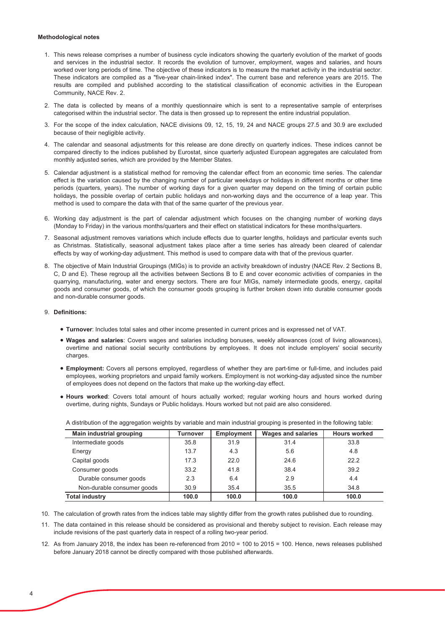#### **Methodological notes**

- 1. This news release comprises a number of business cycle indicators showing the quarterly evolution of the market of goods and services in the industrial sector. It records the evolution of turnover, employment, wages and salaries, and hours worked over long periods of time. The objective of these indicators is to measure the market activity in the industrial sector. These indicators are compiled as a "five-year chain-linked index". The current base and reference years are 2015. The results are compiled and published according to the statistical classification of economic activities in the European Community, NACE Rev. 2.
- 2. The data is collected by means of a monthly questionnaire which is sent to a representative sample of enterprises categorised within the industrial sector. The data is then grossed up to represent the entire industrial population.
- 3. For the scope of the index calculation, NACE divisions 09, 12, 15, 19, 24 and NACE groups 27.5 and 30.9 are excluded because of their negligible activity.
- 4. The calendar and seasonal adjustments for this release are done directly on quarterly indices. These indices cannot be compared directly to the indices published by Eurostat, since quarterly adjusted European aggregates are calculated from monthly adjusted series, which are provided by the Member States.
- 5. Calendar adjustment is a statistical method for removing the calendar effect from an economic time series. The calendar effect is the variation caused by the changing number of particular weekdays or holidays in different months or other time periods (quarters, years). The number of working days for a given quarter may depend on the timing of certain public holidays, the possible overlap of certain public holidays and non-working days and the occurrence of a leap year. This method is used to compare the data with that of the same quarter of the previous year.
- 6. Working day adjustment is the part of calendar adjustment which focuses on the changing number of working days (Monday to Friday) in the various months/quarters and their effect on statistical indicators for these months/quarters.
- 7. Seasonal adjustment removes variations which include effects due to quarter lengths, holidays and particular events such as Christmas. Statistically, seasonal adjustment takes place after a time series has already been cleared of calendar effects by way of working-day adjustment. This method is used to compare data with that of the previous quarter.
- 8. The objective of Main Industrial Groupings (MIGs) is to provide an activity breakdown of industry (NACE Rev. 2 Sections B, C, D and E). These regroup all the activities between Sections B to E and cover economic activities of companies in the quarrying, manufacturing, water and energy sectors. There are four MIGs, namely intermediate goods, energy, capital goods and consumer goods, of which the consumer goods grouping is further broken down into durable consumer goods and non-durable consumer goods.

### 9. Definitions:

- . Turnover: Includes total sales and other income presented in current prices and is expressed net of VAT.
- . Wages and salaries: Covers wages and salaries including bonuses, weekly allowances (cost of living allowances), overtime and national social security contributions by employees. It does not include employers' social security charges.
- . Employment: Covers all persons employed, regardless of whether they are part-time or full-time, and includes paid employees, working proprietors and unpaid family workers. Employment is not working-day adjusted since the number of employees does not depend on the factors that make up the working-day effect.
- . Hours worked: Covers total amount of hours actually worked; regular working hours and hours worked during overtime, during nights, Sundays or Public holidays. Hours worked but not paid are also considered.

| <b>Main industrial grouping</b> | <b>Turnover</b> | <b>Employment</b> | <b>Wages and salaries</b> | <b>Hours worked</b> |
|---------------------------------|-----------------|-------------------|---------------------------|---------------------|
| Intermediate goods              | 35.8            | 31.9              | 31.4                      | 33.8                |
| Energy                          | 13.7            | 4.3               | 5.6                       | 4.8                 |
| Capital goods                   | 17.3            | 22.0              | 24.6                      | 22.2                |
| Consumer goods                  | 33.2            | 41.8              | 38.4                      | 39.2                |
| Durable consumer goods          | 2.3             | 6.4               | 2.9                       | 4.4                 |
| Non-durable consumer goods      | 30.9            | 35.4              | 35.5                      | 34.8                |
| <b>Total industry</b>           | 100.0           | 100.0             | 100.0                     | 100.0               |

A distribution of the aggregation weights by variable and main industrial grouping is presented in the following table:

- 10. The calculation of growth rates from the indices table may slightly differ from the growth rates published due to rounding.
- 11. The data contained in this release should be considered as provisional and thereby subject to revision. Each release may include revisions of the past quarterly data in respect of a rolling two-year period.
- 12. As from January 2018, the index has been re-referenced from 2010 = 100 to 2015 = 100. Hence, news releases published before January 2018 cannot be directly compared with those published afterwards.